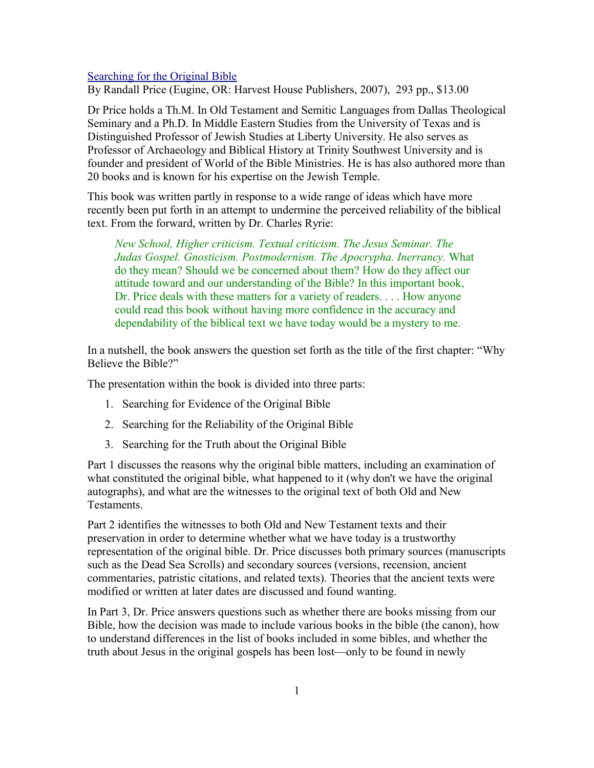## [Searching for the Original Bible](http://www.bestbookdeal.com/book/compare/0-7369-1054-9)

By Randall Price (Eugine, OR: Harvest House Publishers, 2007), 293 pp., \$13.00

Dr Price holds a Th.M. In Old Testament and Semitic Languages from Dallas Theological Seminary and a Ph.D. In Middle Eastern Studies from the University of Texas and is Distinguished Professor of Jewish Studies at Liberty University. He also serves as Professor of Archaeology and Biblical History at Trinity Southwest University and is founder and president of World of the Bible Ministries. He is has also authored more than 20 books and is known for his expertise on the Jewish Temple.

This book was written partly in response to a wide range of ideas which have more recently been put forth in an attempt to undermine the perceived reliability of the biblical text. From the forward, written by Dr. Charles Ryrie:

*New School, Higher criticism. Textual criticism. The Jesus Seminar. The Judas Gospel. Gnosticism. Postmodernism. The Apocrypha. Inerrancy.* What do they mean? Should we be concerned about them? How do they affect our attitude toward and our understanding of the Bible? In this important book, Dr. Price deals with these matters for a variety of readers. . . . How anyone could read this book without having more confidence in the accuracy and dependability of the biblical text we have today would be a mystery to me.

In a nutshell, the book answers the question set forth as the title of the first chapter: "Why Believe the Bible?"

The presentation within the book is divided into three parts:

- 1. Searching for Evidence of the Original Bible
- 2. Searching for the Reliability of the Original Bible
- 3. Searching for the Truth about the Original Bible

Part 1 discusses the reasons why the original bible matters, including an examination of what constituted the original bible, what happened to it (why don't we have the original autographs), and what are the witnesses to the original text of both Old and New **Testaments** 

Part 2 identifies the witnesses to both Old and New Testament texts and their preservation in order to determine whether what we have today is a trustworthy representation of the original bible. Dr. Price discusses both primary sources (manuscripts such as the Dead Sea Scrolls) and secondary sources (versions, recension, ancient commentaries, patristic citations, and related texts). Theories that the ancient texts were modified or written at later dates are discussed and found wanting.

In Part 3, Dr. Price answers questions such as whether there are books missing from our Bible, how the decision was made to include various books in the bible (the canon), how to understand differences in the list of books included in some bibles, and whether the truth about Jesus in the original gospels has been lost—only to be found in newly